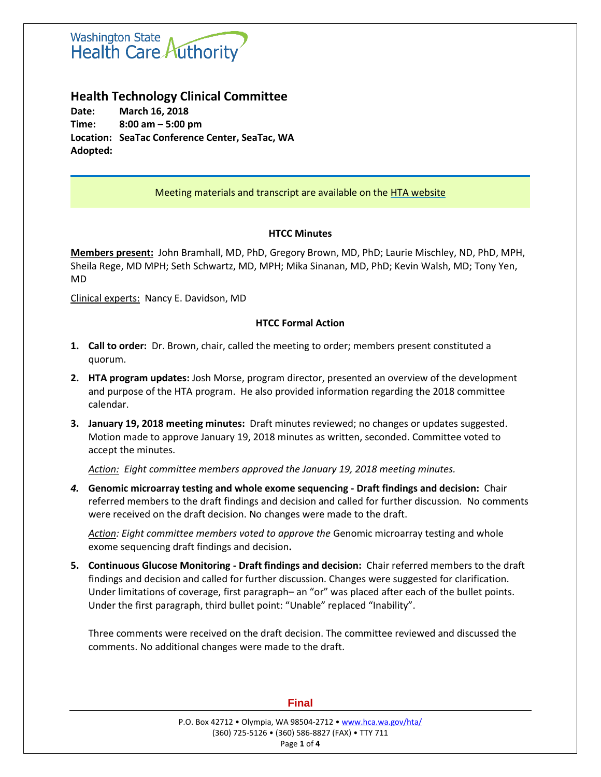

# **Health Technology Clinical Committee**

**Date: March 16, 2018 Time: 8:00 am – 5:00 pm Location: SeaTac Conference Center, SeaTac, WA Adopted:**

# Meeting materials and transcript are available on the [HTA website](http://www.hca.wa.gov/about-hca/health-technology-assessment/meetings-and-materials)

### **HTCC Minutes**

**Members present:** John Bramhall, MD, PhD, Gregory Brown, MD, PhD; Laurie Mischley, ND, PhD, MPH, Sheila Rege, MD MPH; Seth Schwartz, MD, MPH; Mika Sinanan, MD, PhD; Kevin Walsh, MD; Tony Yen, MD

Clinical experts: Nancy E. Davidson, MD

### **HTCC Formal Action**

- **1. Call to order:** Dr. Brown, chair, called the meeting to order; members present constituted a quorum.
- **2. HTA program updates:** Josh Morse, program director, presented an overview of the development and purpose of the HTA program. He also provided information regarding the 2018 committee calendar.
- **3. January 19, 2018 meeting minutes:** Draft minutes reviewed; no changes or updates suggested. Motion made to approve January 19, 2018 minutes as written, seconded. Committee voted to accept the minutes.

*Action: Eight committee members approved the January 19, 2018 meeting minutes.*

*4.* **Genomic microarray testing and whole exome sequencing - Draft findings and decision:** Chair referred members to the draft findings and decision and called for further discussion. No comments were received on the draft decision. No changes were made to the draft.

*Action: Eight committee members voted to approve the* Genomic microarray testing and whole exome sequencing draft findings and decision**.**

**5. Continuous Glucose Monitoring - Draft findings and decision:** Chair referred members to the draft findings and decision and called for further discussion. Changes were suggested for clarification. Under limitations of coverage, first paragraph– an "or" was placed after each of the bullet points. Under the first paragraph, third bullet point: "Unable" replaced "Inability".

Three comments were received on the draft decision. The committee reviewed and discussed the comments. No additional changes were made to the draft.

| P.O. Box 42712 • Olympia, WA 98504-2712 • www.hca.wa.gov/hta/ |  |
|---------------------------------------------------------------|--|
| (360) 725-5126 • (360) 586-8827 (FAX) • TTY 711               |  |
| Page 1 of 4                                                   |  |

#### **Final**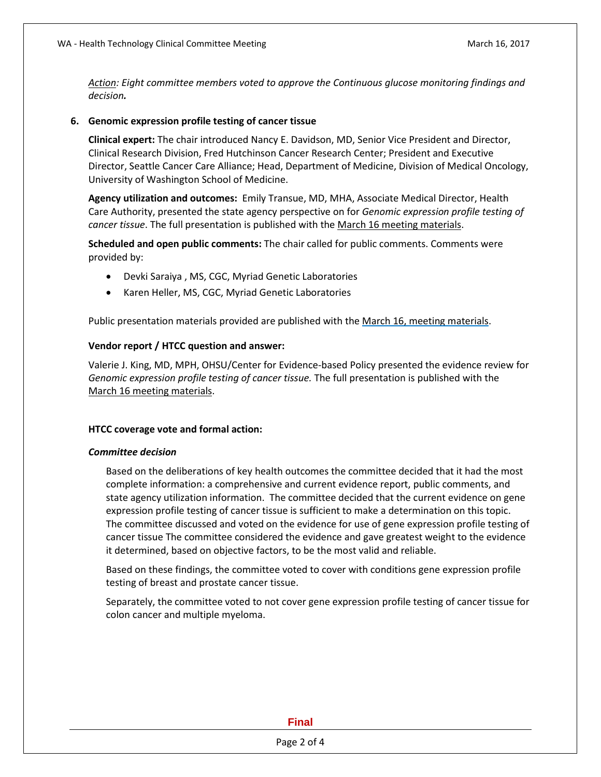*Action: Eight committee members voted to approve the Continuous glucose monitoring findings and decision.*

### **6. Genomic expression profile testing of cancer tissue**

**Clinical expert:** The chair introduced Nancy E. Davidson, MD, Senior Vice President and Director, Clinical Research Division, Fred Hutchinson Cancer Research Center; President and Executive Director, Seattle Cancer Care Alliance; Head, Department of Medicine, Division of Medical Oncology, University of Washington School of Medicine.

**Agency utilization and outcomes:** Emily Transue, MD, MHA, Associate Medical Director, Health Care Authority, presented the state agency perspective on for *Genomic expression profile testing of cancer tissue*. The full presentation is published with the March 16 [meeting materials.](http://www.hca.wa.gov/about-hca/health-technology-assessment/meetings-and-materials)

**Scheduled and open public comments:** The chair called for public comments. Comments were provided by:

- Devki Saraiya , MS, CGC, Myriad Genetic Laboratories
- Karen Heller, MS, CGC, Myriad Genetic Laboratories

Public presentation materials provided are published with the [March 16,](http://www.hca.wa.gov/about-hca/health-technology-assessment/meetings-and-materials) meeting materials.

### **Vendor report / HTCC question and answer:**

Valerie J. King, MD, MPH, OHSU/Center for Evidence-based Policy presented the evidence review for *Genomic expression profile testing of cancer tissue.* The full presentation is published with the March 16 [meeting materials.](http://www.hca.wa.gov/about-hca/health-technology-assessment/meetings-and-materials)

### **HTCC coverage vote and formal action:**

### *Committee decision*

Based on the deliberations of key health outcomes the committee decided that it had the most complete information: a comprehensive and current evidence report, public comments, and state agency utilization information. The committee decided that the current evidence on gene expression profile testing of cancer tissue is sufficient to make a determination on this topic. The committee discussed and voted on the evidence for use of gene expression profile testing of cancer tissue The committee considered the evidence and gave greatest weight to the evidence it determined, based on objective factors, to be the most valid and reliable.

Based on these findings, the committee voted to cover with conditions gene expression profile testing of breast and prostate cancer tissue.

Separately, the committee voted to not cover gene expression profile testing of cancer tissue for colon cancer and multiple myeloma.

# **Final**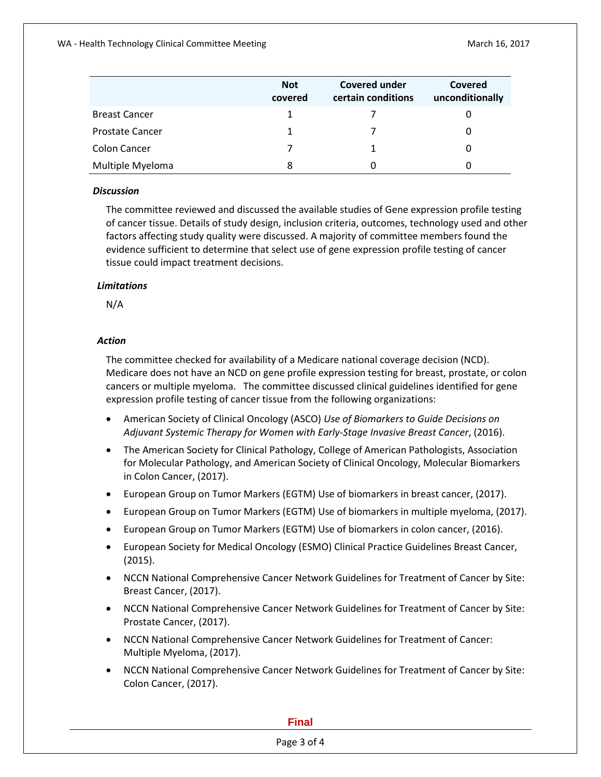|                        | <b>Not</b><br>covered | <b>Covered under</b><br>certain conditions | Covered<br>unconditionally |
|------------------------|-----------------------|--------------------------------------------|----------------------------|
| <b>Breast Cancer</b>   |                       |                                            |                            |
| <b>Prostate Cancer</b> |                       |                                            |                            |
| Colon Cancer           |                       |                                            | O                          |
| Multiple Myeloma       | 8                     |                                            |                            |

### *Discussion*

The committee reviewed and discussed the available studies of Gene expression profile testing of cancer tissue. Details of study design, inclusion criteria, outcomes, technology used and other factors affecting study quality were discussed. A majority of committee members found the evidence sufficient to determine that select use of gene expression profile testing of cancer tissue could impact treatment decisions.

# *Limitations*

N/A

### *Action*

The committee checked for availability of a Medicare national coverage decision (NCD). Medicare does not have an NCD on gene profile expression testing for breast, prostate, or colon cancers or multiple myeloma. The committee discussed clinical guidelines identified for gene expression profile testing of cancer tissue from the following organizations:

- American Society of Clinical Oncology (ASCO) *Use of Biomarkers to Guide Decisions on Adjuvant Systemic Therapy for Women with Early-Stage Invasive Breast Cancer*, (2016).
- The American Society for Clinical Pathology, College of American Pathologists, Association for Molecular Pathology, and American Society of Clinical Oncology, Molecular Biomarkers in Colon Cancer, (2017).
- European Group on Tumor Markers (EGTM) Use of biomarkers in breast cancer, (2017).
- European Group on Tumor Markers (EGTM) Use of biomarkers in multiple myeloma, (2017).
- European Group on Tumor Markers (EGTM) Use of biomarkers in colon cancer, (2016).
- European Society for Medical Oncology (ESMO) Clinical Practice Guidelines Breast Cancer, (2015).
- NCCN National Comprehensive Cancer Network Guidelines for Treatment of Cancer by Site: Breast Cancer, (2017).
- NCCN National Comprehensive Cancer Network Guidelines for Treatment of Cancer by Site: Prostate Cancer, (2017).
- NCCN National Comprehensive Cancer Network Guidelines for Treatment of Cancer: Multiple Myeloma, (2017).
- NCCN National Comprehensive Cancer Network Guidelines for Treatment of Cancer by Site: Colon Cancer, (2017).

#### **Final**

### Page 3 of 4